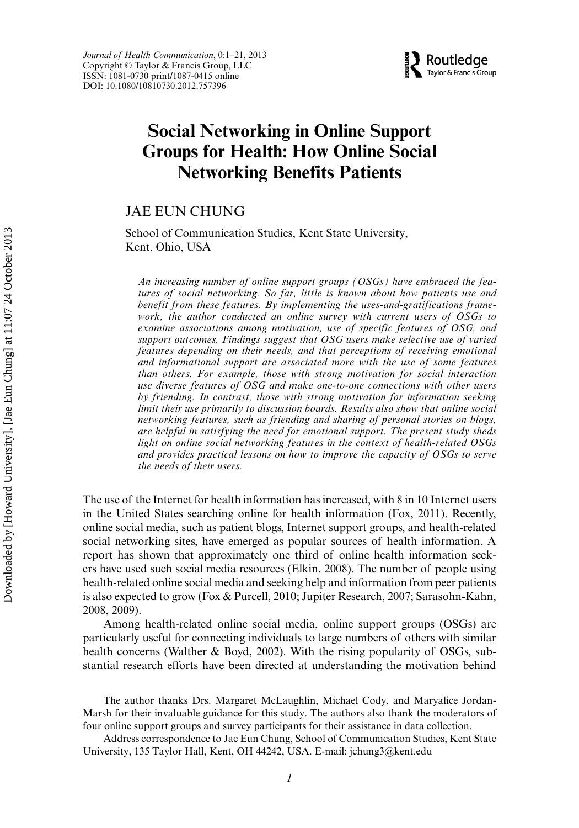



# **Social Networking in Online Support Groups for Health: How Online Social Networking Benefits Patients**

JAE EUN CHUNG

 School of Communication Studies, Kent State University, Kent, Ohio, USA

 *An increasing number of online support groups (OSGs) have embraced the features of social networking. So far, little is known about how patients use and benefit from these features. By implementing the uses-and-gratifications framework, the author conducted an online survey with current users of OSGs to examine associations among motivation, use of specific features of OSG, and support outcomes. Findings suggest that OSG users make selective use of varied features depending on their needs, and that perceptions of receiving emotional and informational support are associated more with the use of some features than others. For example, those with strong motivation for social interaction use diverse features of OSG and make one-to-one connections with other users by friending. In contrast, those with strong motivation for information seeking limit their use primarily to discussion boards. Results also show that online social networking features, such as friending and sharing of personal stories on blogs, are helpful in satisfying the need for emotional support. The present study sheds light on online social networking features in the context of health-related OSGs and provides practical lessons on how to improve the capacity of OSGs to serve the needs of their users.* 

The use of the Internet for health information has increased, with 8 in 10 Internet users in the United States searching online for health information (Fox, 2011). Recently, online social media, such as patient blogs, Internet support groups, and health-related social networking sites, have emerged as popular sources of health information. A report has shown that approximately one third of online health information seekers have used such social media resources (Elkin, 2008). The number of people using health-related online social media and seeking help and information from peer patients is also expected to grow (Fox & Purcell, 2010; Jupiter Research, 2007; Sarasohn-Kahn, 2008, 2009).

Among health-related online social media, online support groups (OSGs) are particularly useful for connecting individuals to large numbers of others with similar health concerns (Walther & Boyd, 2002). With the rising popularity of OSGs, substantial research efforts have been directed at understanding the motivation behind

 The author thanks Drs. Margaret McLaughlin, Michael Cody, and Maryalice Jordan-Marsh for their invaluable guidance for this study. The authors also thank the moderators of four online support groups and survey participants for their assistance in data collection.

 Address correspondence to Jae Eun Chung, School of Communication Studies, Kent State University, 135 Taylor Hall, Kent, OH 44242, USA. E-mail: jchung3@kent.edu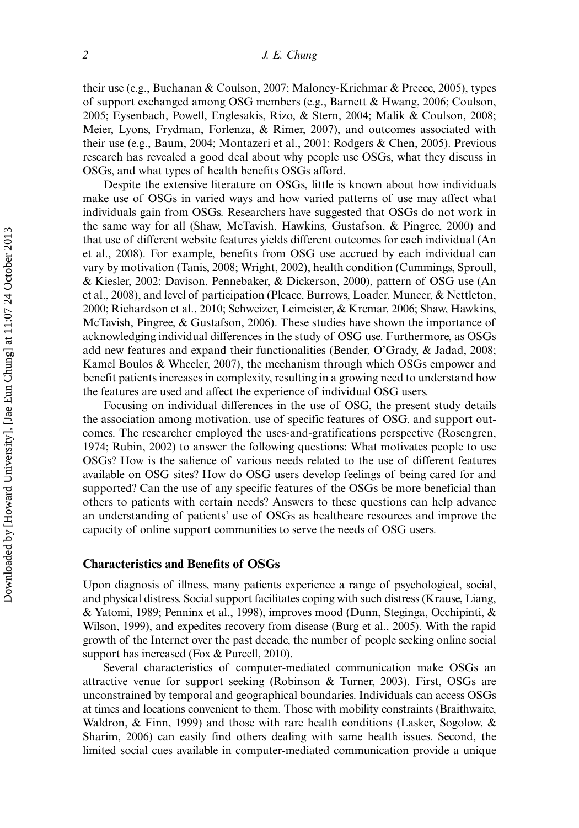their use (e.g., Buchanan & Coulson, 2007; Maloney-Krichmar & Preece, 2005), types of support exchanged among OSG members (e.g., Barnett & Hwang, 2006; Coulson, 2005; Eysenbach, Powell, Englesakis, Rizo, & Stern, 2004; Malik & Coulson, 2008; Meier, Lyons, Frydman, Forlenza, & Rimer, 2007), and outcomes associated with their use (e.g., Baum, 2004; Montazeri et al., 2001; Rodgers & Chen, 2005). Previous research has revealed a good deal about why people use OSGs, what they discuss in OSGs, and what types of health benefits OSGs afford.

Despite the extensive literature on OSGs, little is known about how individuals make use of OSGs in varied ways and how varied patterns of use may affect what individuals gain from OSGs. Researchers have suggested that OSGs do not work in the same way for all (Shaw, McTavish, Hawkins, Gustafson, & Pingree, 2000) and that use of different website features yields different outcomes for each individual (An et al., 2008). For example, benefits from OSG use accrued by each individual can vary by motivation (Tanis, 2008; Wright, 2002), health condition (Cummings, Sproull, & Kiesler, 2002; Davison, Pennebaker, & Dickerson, 2000), pattern of OSG use (An et al., 2008), and level of participation (Pleace, Burrows, Loader, Muncer, & Nettleton, 2000; Richardson et al., 2010; Schweizer, Leimeister, & Krcmar, 2006; Shaw, Hawkins, McTavish, Pingree, & Gustafson, 2006). These studies have shown the importance of acknowledging individual differences in the study of OSG use. Furthermore, as OSGs add new features and expand their functionalities (Bender, O'Grady, & Jadad, 2008; Kamel Boulos & Wheeler, 2007), the mechanism through which OSGs empower and benefit patients increases in complexity, resulting in a growing need to understand how the features are used and affect the experience of individual OSG users.

Focusing on individual differences in the use of OSG, the present study details the association among motivation, use of specific features of OSG, and support outcomes. The researcher employed the uses-and-gratifications perspective (Rosengren, 1974; Rubin, 2002) to answer the following questions: What motivates people to use OSGs? How is the salience of various needs related to the use of different features available on OSG sites? How do OSG users develop feelings of being cared for and supported? Can the use of any specific features of the OSGs be more beneficial than others to patients with certain needs? Answers to these questions can help advance an understanding of patients' use of OSGs as healthcare resources and improve the capacity of online support communities to serve the needs of OSG users.

# **Characteristics and Benefits of OSGs**

Upon diagnosis of illness, many patients experience a range of psychological, social, and physical distress. Social support facilitates coping with such distress (Krause, Liang, & Yatomi, 1989; Penninx et al., 1998), improves mood (Dunn, Steginga, Occhipinti, & Wilson, 1999), and expedites recovery from disease (Burg et al., 2005). With the rapid growth of the Internet over the past decade, the number of people seeking online social support has increased (Fox & Purcell, 2010).

Several characteristics of computer-mediated communication make OSGs an attractive venue for support seeking (Robinson & Turner, 2003). First, OSGs are unconstrained by temporal and geographical boundaries. Individuals can access OSGs at times and locations convenient to them. Those with mobility constraints (Braithwaite, Waldron, & Finn, 1999) and those with rare health conditions (Lasker, Sogolow, & Sharim, 2006) can easily find others dealing with same health issues. Second, the limited social cues available in computer-mediated communication provide a unique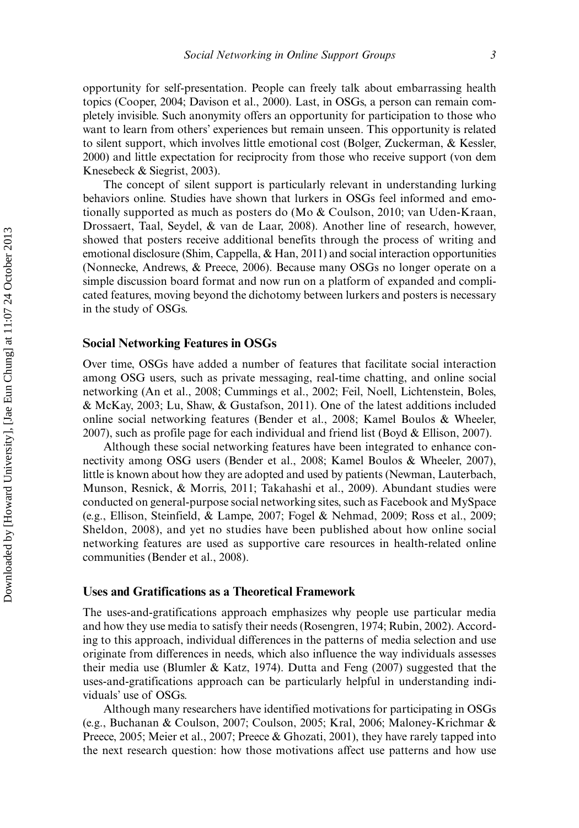opportunity for self-presentation. People can freely talk about embarrassing health topics (Cooper, 2004; Davison et al., 2000). Last, in OSGs, a person can remain completely invisible. Such anonymity offers an opportunity for participation to those who want to learn from others' experiences but remain unseen. This opportunity is related to silent support, which involves little emotional cost (Bolger, Zuckerman, & Kessler, 2000) and little expectation for reciprocity from those who receive support (von dem Knesebeck & Siegrist, 2003).

The concept of silent support is particularly relevant in understanding lurking behaviors online. Studies have shown that lurkers in OSGs feel informed and emotionally supported as much as posters do (Mo & Coulson, 2010; van Uden-Kraan, Drossaert, Taal, Seydel, & van de Laar, 2008). Another line of research, however, showed that posters receive additional benefits through the process of writing and emotional disclosure (Shim, Cappella, & Han, 2011) and social interaction opportunities (Nonnecke, Andrews, & Preece, 2006). Because many OSGs no longer operate on a simple discussion board format and now run on a platform of expanded and complicated features, moving beyond the dichotomy between lurkers and posters is necessary in the study of OSGs.

# **Social Networking Features in OSGs**

Over time, OSGs have added a number of features that facilitate social interaction among OSG users, such as private messaging, real-time chatting, and online social networking (An et al., 2008; Cummings et al., 2002; Feil, Noell, Lichtenstein, Boles, & McKay, 2003; Lu, Shaw, & Gustafson, 2011). One of the latest additions included online social networking features (Bender et al., 2008; Kamel Boulos & Wheeler, 2007), such as profile page for each individual and friend list (Boyd & Ellison, 2007).

Although these social networking features have been integrated to enhance connectivity among OSG users (Bender et al., 2008; Kamel Boulos & Wheeler, 2007), little is known about how they are adopted and used by patients (Newman, Lauterbach, Munson, Resnick, & Morris, 2011; Takahashi et al., 2009). Abundant studies were conducted on general-purpose social networking sites, such as Facebook and MySpace (e.g., Ellison, Steinfield, & Lampe, 2007; Fogel & Nehmad, 2009; Ross et al., 2009; Sheldon, 2008), and yet no studies have been published about how online social networking features are used as supportive care resources in health-related online communities (Bender et al., 2008).

# **Uses and Gratifications as a Theoretical Framework**

The uses-and-gratifications approach emphasizes why people use particular media and how they use media to satisfy their needs (Rosengren, 1974; Rubin, 2002). According to this approach, individual differences in the patterns of media selection and use originate from differences in needs, which also influence the way individuals assesses their media use (Blumler & Katz, 1974). Dutta and Feng (2007) suggested that the uses-and-gratifications approach can be particularly helpful in understanding individuals' use of OSGs.

Although many researchers have identified motivations for participating in OSGs (e.g., Buchanan & Coulson, 2007; Coulson, 2005; Kral, 2006; Maloney-Krichmar & Preece, 2005; Meier et al., 2007; Preece & Ghozati, 2001), they have rarely tapped into the next research question: how those motivations affect use patterns and how use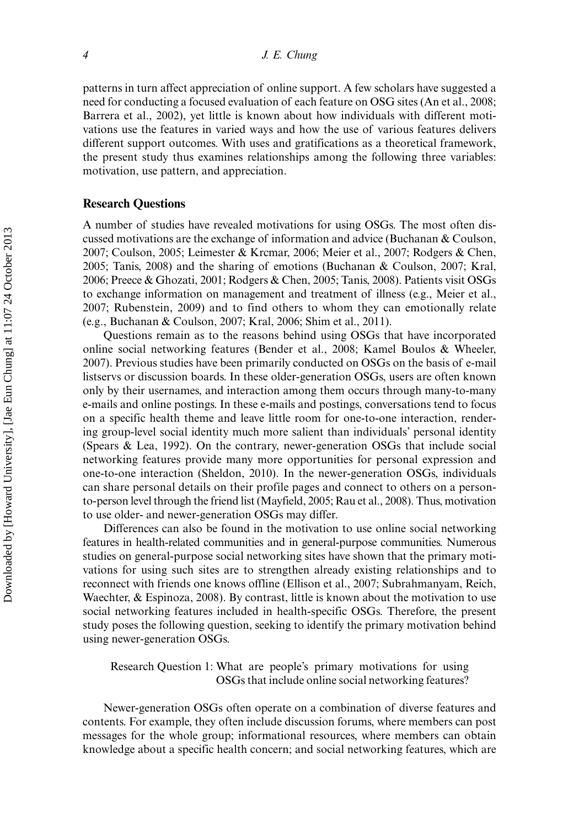patterns in turn affect appreciation of online support. A few scholars have suggested a need for conducting a focused evaluation of each feature on OSG sites (An et al., 2008; Barrera et al., 2002), yet little is known about how individuals with different motivations use the features in varied ways and how the use of various features delivers different support outcomes. With uses and gratifications as a theoretical framework, the present study thus examines relationships among the following three variables: motivation, use pattern, and appreciation.

# **Research Questions**

A number of studies have revealed motivations for using OSGs. The most often discussed motivations are the exchange of information and advice (Buchanan & Coulson, 2007; Coulson, 2005; Leimester & Krcmar, 2006; Meier et al., 2007; Rodgers & Chen, 2005; Tanis, 2008) and the sharing of emotions (Buchanan & Coulson, 2007; Kral, 2006; Preece & Ghozati, 2001; Rodgers & Chen, 2005; Tanis, 2008). Patients visit OSGs to exchange information on management and treatment of illness (e.g., Meier et al., 2007; Rubenstein, 2009) and to find others to whom they can emotionally relate (e.g., Buchanan & Coulson, 2007; Kral, 2006; Shim et al., 2011).

Questions remain as to the reasons behind using OSGs that have incorporated online social networking features (Bender et al., 2008; Kamel Boulos & Wheeler, 2007). Previous studies have been primarily conducted on OSGs on the basis of e-mail listservs or discussion boards. In these older-generation OSGs, users are often known only by their usernames, and interaction among them occurs through many-to-many e-mails and online postings. In these e-mails and postings, conversations tend to focus on a specific health theme and leave little room for one-to-one interaction, rendering group-level social identity much more salient than individuals' personal identity (Spears & Lea, 1992). On the contrary, newer-generation OSGs that include social networking features provide many more opportunities for personal expression and one-to-one interaction (Sheldon, 2010). In the newer-generation OSGs, individuals can share personal details on their profile pages and connect to others on a personto-person level through the friend list (Mayfield, 2005; Rau et al., 2008). Thus, motivation to use older- and newer-generation OSGs may differ.

Differences can also be found in the motivation to use online social networking features in health-related communities and in general-purpose communities. Numerous studies on general-purpose social networking sites have shown that the primary motivations for using such sites are to strengthen already existing relationships and to reconnect with friends one knows offline (Ellison et al., 2007; Subrahmanyam, Reich, Waechter, & Espinoza, 2008). By contrast, little is known about the motivation to use social networking features included in health-specific OSGs. Therefore, the present study poses the following question, seeking to identify the primary motivation behind using newer-generation OSGs.

 Research Question 1: What are people's primary motivations for using OSGs that include online social networking features?

Newer-generation OSGs often operate on a combination of diverse features and contents. For example, they often include discussion forums, where members can post messages for the whole group; informational resources, where members can obtain knowledge about a specific health concern; and social networking features, which are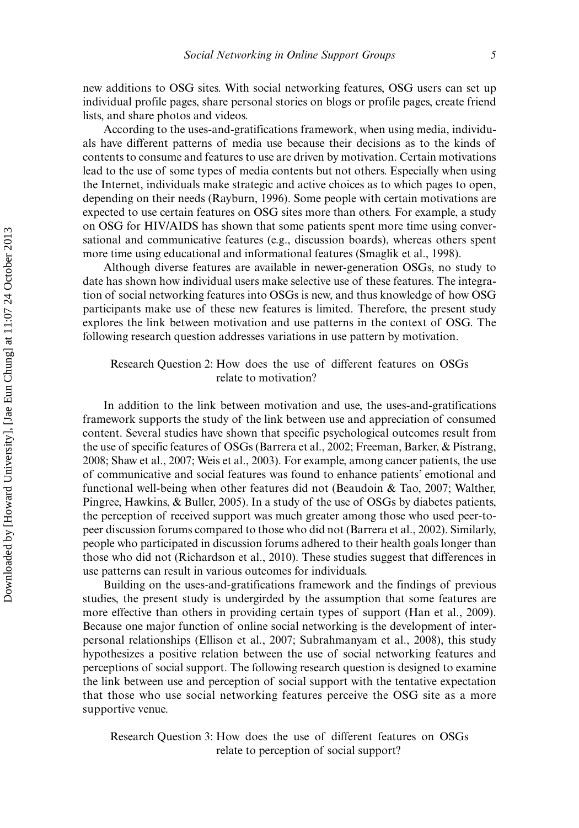new additions to OSG sites. With social networking features, OSG users can set up individual profile pages, share personal stories on blogs or profile pages, create friend lists, and share photos and videos.

According to the uses-and-gratifications framework, when using media, individuals have different patterns of media use because their decisions as to the kinds of contents to consume and features to use are driven by motivation. Certain motivations lead to the use of some types of media contents but not others. Especially when using the Internet, individuals make strategic and active choices as to which pages to open, depending on their needs (Rayburn, 1996). Some people with certain motivations are expected to use certain features on OSG sites more than others. For example, a study on OSG for HIV/AIDS has shown that some patients spent more time using conversational and communicative features (e.g., discussion boards), whereas others spent more time using educational and informational features (Smaglik et al., 1998).

Although diverse features are available in newer-generation OSGs, no study to date has shown how individual users make selective use of these features. The integration of social networking features into OSGs is new, and thus knowledge of how OSG participants make use of these new features is limited. Therefore, the present study explores the link between motivation and use patterns in the context of OSG. The following research question addresses variations in use pattern by motivation.

# Research Question 2: How does the use of different features on OSGs relate to motivation?

In addition to the link between motivation and use, the uses-and-gratifications framework supports the study of the link between use and appreciation of consumed content. Several studies have shown that specific psychological outcomes result from the use of specific features of OSGs (Barrera et al., 2002; Freeman, Barker, & Pistrang, 2008; Shaw et al., 2007; Weis et al., 2003). For example, among cancer patients, the use of communicative and social features was found to enhance patients' emotional and functional well-being when other features did not (Beaudoin & Tao, 2007; Walther, Pingree, Hawkins, & Buller, 2005). In a study of the use of OSGs by diabetes patients, the perception of received support was much greater among those who used peer-topeer discussion forums compared to those who did not (Barrera et al., 2002). Similarly, people who participated in discussion forums adhered to their health goals longer than those who did not (Richardson et al., 2010). These studies suggest that differences in use patterns can result in various outcomes for individuals.

Building on the uses-and-gratifications framework and the findings of previous studies, the present study is undergirded by the assumption that some features are more effective than others in providing certain types of support (Han et al., 2009). Because one major function of online social networking is the development of interpersonal relationships (Ellison et al., 2007; Subrahmanyam et al., 2008), this study hypothesizes a positive relation between the use of social networking features and perceptions of social support. The following research question is designed to examine the link between use and perception of social support with the tentative expectation that those who use social networking features perceive the OSG site as a more supportive venue.

 Research Question 3: How does the use of different features on OSGs relate to perception of social support?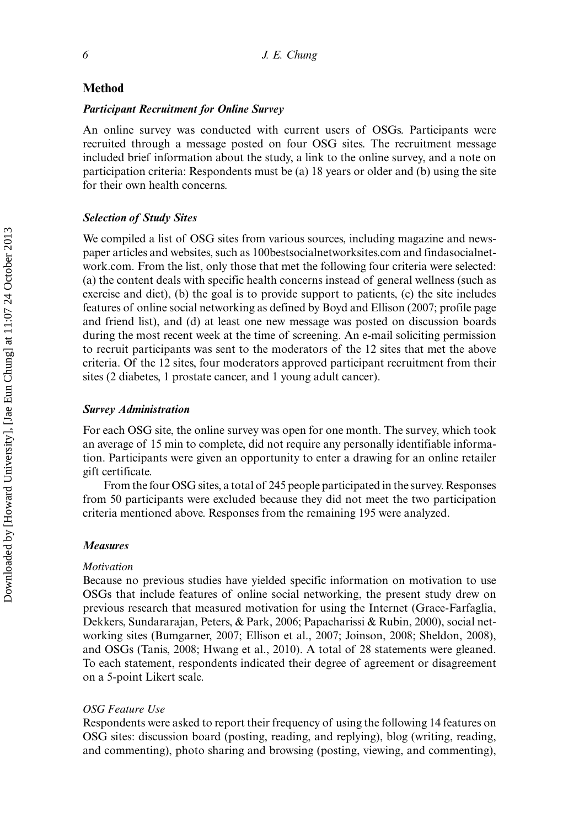# **Method**

# *Participant Recruitment for Online Survey*

An online survey was conducted with current users of OSGs. Participants were recruited through a message posted on four OSG sites. The recruitment message included brief information about the study, a link to the online survey, and a note on participation criteria: Respondents must be (a) 18 years or older and (b) using the site for their own health concerns.

# *Selection of Study Sites*

We compiled a list of OSG sites from various sources, including magazine and newspaper articles and websites, such as 100bestsocialnetworksites.com and findasocialnetwork.com. From the list, only those that met the following four criteria were selected: (a) the content deals with specific health concerns instead of general wellness (such as exercise and diet), (b) the goal is to provide support to patients, (c) the site includes features of online social networking as defined by Boyd and Ellison (2007; profile page and friend list), and (d) at least one new message was posted on discussion boards during the most recent week at the time of screening. An e-mail soliciting permission to recruit participants was sent to the moderators of the 12 sites that met the above criteria. Of the 12 sites, four moderators approved participant recruitment from their sites (2 diabetes, 1 prostate cancer, and 1 young adult cancer).

## *Survey Administration*

For each OSG site, the online survey was open for one month. The survey, which took an average of 15 min to complete, did not require any personally identifiable information. Participants were given an opportunity to enter a drawing for an online retailer gift certificate.

From the four OSG sites, a total of 245 people participated in the survey. Responses from 50 participants were excluded because they did not meet the two participation criteria mentioned above. Responses from the remaining 195 were analyzed.

# *Measures*

#### *Motivation*

Because no previous studies have yielded specific information on motivation to use OSGs that include features of online social networking, the present study drew on previous research that measured motivation for using the Internet (Grace-Farfaglia, Dekkers, Sundararajan, Peters, & Park, 2006; Papacharissi & Rubin, 2000), social networking sites (Bumgarner, 2007; Ellison et al., 2007; Joinson, 2008; Sheldon, 2008), and OSGs (Tanis, 2008; Hwang et al., 2010). A total of 28 statements were gleaned. To each statement, respondents indicated their degree of agreement or disagreement on a 5-point Likert scale.

# *OSG Feature Use*

Respondents were asked to report their frequency of using the following 14 features on OSG sites: discussion board (posting, reading, and replying), blog (writing, reading, and commenting), photo sharing and browsing (posting, viewing, and commenting),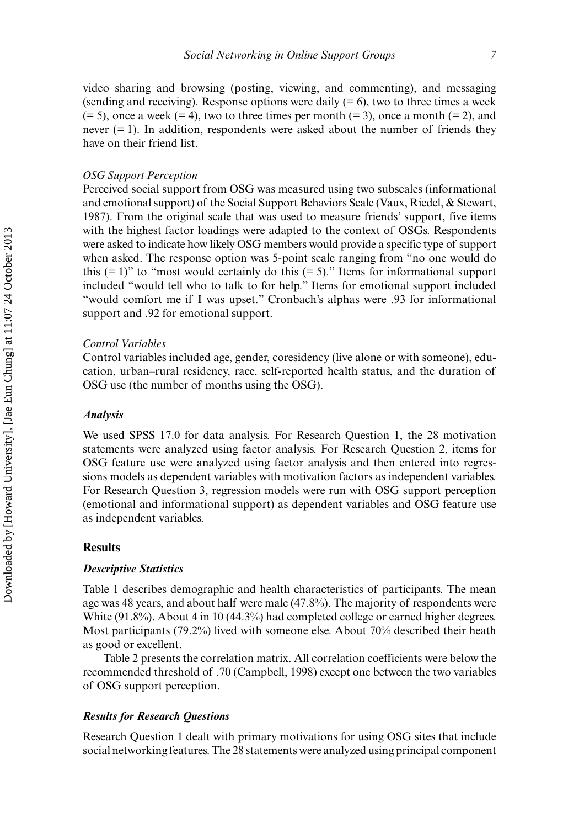video sharing and browsing (posting, viewing, and commenting), and messaging (sending and receiving). Response options were daily  $(= 6)$ , two to three times a week  $(= 5)$ , once a week  $(= 4)$ , two to three times per month  $(= 3)$ , once a month  $(= 2)$ , and never  $(= 1)$ . In addition, respondents were asked about the number of friends they have on their friend list.

#### *OSG Support Perception*

Perceived social support from OSG was measured using two subscales (informational and emotional support) of the Social Support Behaviors Scale (Vaux, Riedel, & Stewart, 1987). From the original scale that was used to measure friends' support, five items with the highest factor loadings were adapted to the context of OSGs. Respondents were asked to indicate how likely OSG members would provide a specific type of support when asked. The response option was 5-point scale ranging from "no one would do this  $(= 1)$ " to "most would certainly do this  $(= 5)$ ." Items for informational support included "would tell who to talk to for help." Items for emotional support included "would comfort me if I was upset." Cronbach's alphas were .93 for informational support and .92 for emotional support.

#### *Control Variables*

Control variables included age, gender, coresidency (live alone or with someone), education, urban–rural residency, race, self-reported health status, and the duration of OSG use (the number of months using the OSG).

#### *Analysis*

We used SPSS 17.0 for data analysis. For Research Question 1, the 28 motivation statements were analyzed using factor analysis. For Research Question 2, items for OSG feature use were analyzed using factor analysis and then entered into regressions models as dependent variables with motivation factors as independent variables. For Research Question 3, regression models were run with OSG support perception (emotional and informational support) as dependent variables and OSG feature use as independent variables.

## **Results**

#### *Descriptive Statistics*

Table 1 describes demographic and health characteristics of participants. The mean age was 48 years, and about half were male (47.8%). The majority of respondents were White (91.8%). About 4 in 10 (44.3%) had completed college or earned higher degrees. Most participants (79.2%) lived with someone else. About 70% described their heath as good or excellent.

Table 2 presents the correlation matrix. All correlation coefficients were below the recommended threshold of .70 (Campbell, 1998) except one between the two variables of OSG support perception.

# *Results for Research Questions*

Research Question 1 dealt with primary motivations for using OSG sites that include social networking features. The 28 statements were analyzed using principal component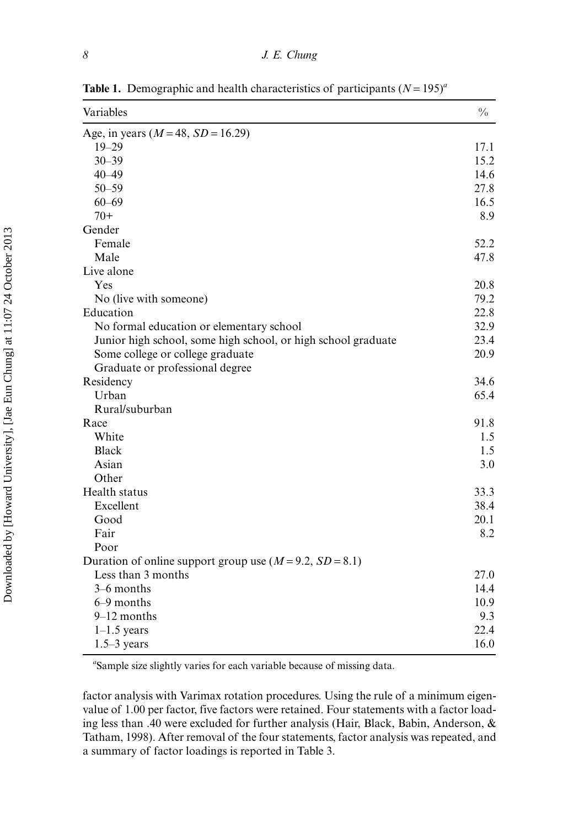| Variables                                                     | $\frac{0}{0}$ |
|---------------------------------------------------------------|---------------|
| Age, in years ( $M = 48$ , $SD = 16.29$ )                     |               |
| $19 - 29$                                                     | 17.1          |
| $30 - 39$                                                     | 15.2          |
| $40 - 49$                                                     | 14.6          |
| $50 - 59$                                                     | 27.8          |
| $60 - 69$                                                     | 16.5          |
| $70+$                                                         | 8.9           |
| Gender                                                        |               |
| Female                                                        | 52.2          |
| Male                                                          | 47.8          |
| Live alone                                                    |               |
| Yes                                                           | 20.8          |
| No (live with someone)                                        | 79.2          |
| Education                                                     | 22.8          |
| No formal education or elementary school                      | 32.9          |
| Junior high school, some high school, or high school graduate | 23.4          |
| Some college or college graduate                              | 20.9          |
| Graduate or professional degree                               |               |
| Residency                                                     | 34.6          |
| Urban                                                         | 65.4          |
| Rural/suburban                                                |               |
| Race                                                          | 91.8          |
| White                                                         | 1.5           |
| <b>Black</b>                                                  | 1.5           |
| Asian                                                         | 3.0           |
| Other                                                         |               |
| Health status                                                 | 33.3          |
| Excellent                                                     | 38.4          |
| Good                                                          | 20.1          |
| Fair                                                          | 8.2           |
| Poor                                                          |               |
| Duration of online support group use $(M = 9.2, SD = 8.1)$    |               |
| Less than 3 months                                            | 27.0          |
| $3-6$ months                                                  | 14.4          |
| $6-9$ months                                                  | 10.9          |
| 9-12 months                                                   | 9.3           |
| $1-1.5$ years                                                 | 22.4          |
| $1.5 - 3$ years                                               | 16.0          |

 **Table 1.** Demographic and health characteristics of participants  $(N = 195)^a$ 

*a* Sample size slightly varies for each variable because of missing data.

factor analysis with Varimax rotation procedures. Using the rule of a minimum eigenvalue of 1.00 per factor, five factors were retained. Four statements with a factor loading less than .40 were excluded for further analysis (Hair, Black, Babin, Anderson, & Tatham, 1998). After removal of the four statements, factor analysis was repeated, and a summary of factor loadings is reported in Table 3.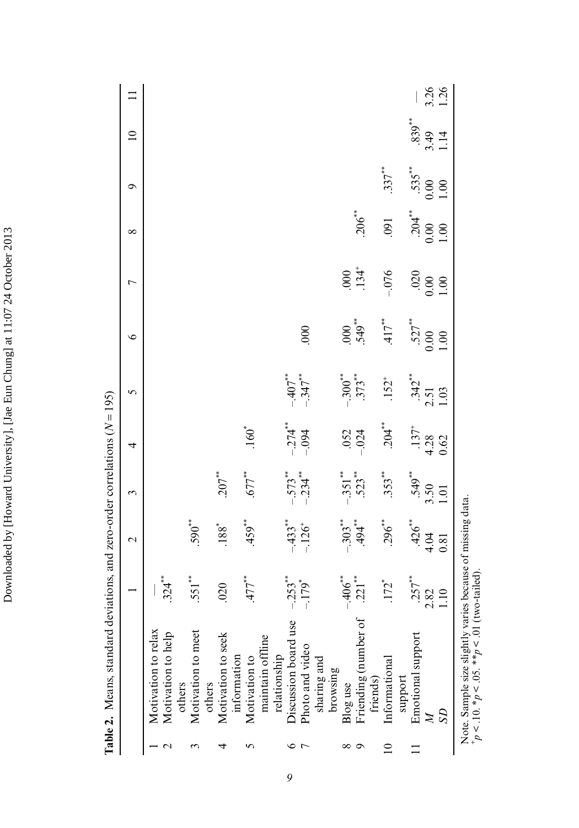|                  | <b>Table 2.</b> Means, standard deviations, and zero-order correlations ( $N = 195$ ) |                              |                        |                        |                            |                       |                       |                    |                   |                   |                   |                |
|------------------|---------------------------------------------------------------------------------------|------------------------------|------------------------|------------------------|----------------------------|-----------------------|-----------------------|--------------------|-------------------|-------------------|-------------------|----------------|
|                  |                                                                                       |                              | $\mathbf{C}$           | ξ                      | 4                          | 5                     | $\circ$               | Γ                  | ∞                 | Q                 | $\Box$            |                |
|                  | Motivation to relax<br>Motivation to help                                             | .324                         |                        |                        |                            |                       |                       |                    |                   |                   |                   |                |
|                  | Motivation to meet<br>others                                                          | $.551***$                    | $.590***$              |                        |                            |                       |                       |                    |                   |                   |                   |                |
| 4                | Motivation to seek<br>others                                                          | 020                          | $188*$                 | $.207**$               |                            |                       |                       |                    |                   |                   |                   |                |
| n                | information<br>Motivation to                                                          | $.477$ **                    | $.459***$              | $.677$ **              | $.160*$                    |                       |                       |                    |                   |                   |                   |                |
| ७                | Discussion board use<br>maintain offline<br>relationship                              | $-253$ **<br>--179*          | $-433^{**}$            | $-573**$<br>--234**    | $-.274$ **                 | $-.407$ <sup>**</sup> |                       |                    |                   |                   |                   |                |
| ┍                | Photo and video<br>sharing and                                                        |                              | $-126^{+}$             |                        | $-0.094$                   | $-.347$ **            | 000                   |                    |                   |                   |                   |                |
| ∞                | browsing<br>Blog use                                                                  | $-406$ <sup>**</sup><br>.221 | $-.303**$              | $-.351$ **             | $-052$<br>$-024$           | $-300^{**}$<br>373**  | 000                   | $000$ .            |                   |                   |                   |                |
| $\supseteq$<br>ഗ | Friending (number of<br>Informational<br>friends)                                     | $172*$                       | $494**$<br>$.296^{**}$ | $.523***$<br>$.353***$ | $.204**$                   | $.152^{+}$            | $.549***$<br>$.417**$ | $.134 +$<br>$-076$ | $.206$ **<br>.091 | $.337***$         |                   |                |
|                  | Emotional support<br>support<br>Z                                                     | $.257***$<br>82              | $.426***$<br>4.04      | $.549***$              | $.137^{+}$<br>4.28<br>0.62 | $.342**$<br>2.51      | $.527***$<br>0.00     | 020<br>0.00        | $204**$<br>0.00   | $.535***$<br>0.00 | $.839***$<br>3.49 |                |
|                  | SD                                                                                    | $\ddot{=}$                   | 0.81                   | $3.50$<br>1.01         |                            | 1.03                  | 00.1                  | 1.00               | 1.00              | 00.1              | 1.14              | $3.26$<br>1.26 |
|                  | Note. Sample size slightly varies because of missing data.                            |                              |                        |                        |                            |                       |                       |                    |                   |                   |                   |                |

**Table 2.** Means, standard deviations, and zero-order correlations ( $N = 195$ )  $(N-105)$  $\overline{\phantom{a}}$  $\frac{6}{7}$ Ĥ ्र<br>त  $\frac{1}{2}$  $\ddot{\cdot}$  $\mathbf{M}$ 

*9*

+

 $p < 10.$  \* $p < 0.05$ . \*\* $p < 0.01$  (two-tailed).

Downloaded by [Howard University], [Jae Eun Chung] at 11:07 24 October 2013 Downloaded by [Howard University], [Jae Eun Chung] at 11:07 24 October 2013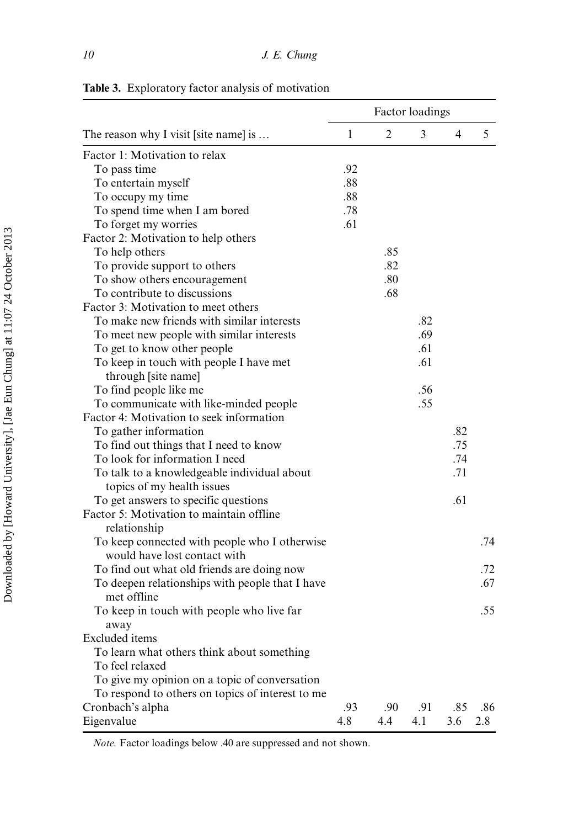|                                                                               |              |                | Factor loadings |     |     |
|-------------------------------------------------------------------------------|--------------|----------------|-----------------|-----|-----|
| The reason why I visit [site name] is $\dots$                                 | $\mathbf{1}$ | $\overline{2}$ | 3               | 4   | 5   |
| Factor 1: Motivation to relax                                                 |              |                |                 |     |     |
| To pass time                                                                  | .92          |                |                 |     |     |
| To entertain myself                                                           | .88          |                |                 |     |     |
| To occupy my time                                                             | .88          |                |                 |     |     |
| To spend time when I am bored                                                 | .78          |                |                 |     |     |
| To forget my worries                                                          | .61          |                |                 |     |     |
| Factor 2: Motivation to help others                                           |              |                |                 |     |     |
| To help others                                                                |              | .85            |                 |     |     |
| To provide support to others                                                  |              | .82            |                 |     |     |
| To show others encouragement                                                  |              | .80            |                 |     |     |
| To contribute to discussions                                                  |              | .68            |                 |     |     |
| Factor 3: Motivation to meet others                                           |              |                |                 |     |     |
| To make new friends with similar interests                                    |              |                | .82             |     |     |
| To meet new people with similar interests                                     |              |                | .69             |     |     |
| To get to know other people                                                   |              |                | .61             |     |     |
| To keep in touch with people I have met                                       |              |                | .61             |     |     |
| through [site name]                                                           |              |                |                 |     |     |
| To find people like me                                                        |              |                | .56             |     |     |
| To communicate with like-minded people                                        |              |                | .55             |     |     |
| Factor 4: Motivation to seek information                                      |              |                |                 |     |     |
| To gather information                                                         |              |                |                 | .82 |     |
| To find out things that I need to know                                        |              |                |                 | .75 |     |
| To look for information I need                                                |              |                |                 | .74 |     |
| To talk to a knowledgeable individual about                                   |              |                |                 | .71 |     |
| topics of my health issues                                                    |              |                |                 |     |     |
| To get answers to specific questions                                          |              |                |                 | .61 |     |
| Factor 5: Motivation to maintain offline                                      |              |                |                 |     |     |
| relationship                                                                  |              |                |                 |     |     |
| To keep connected with people who I otherwise<br>would have lost contact with |              |                |                 |     | .74 |
| To find out what old friends are doing now                                    |              |                |                 |     | .72 |
| To deepen relationships with people that I have                               |              |                |                 |     | .67 |
| met offline                                                                   |              |                |                 |     |     |
| To keep in touch with people who live far                                     |              |                |                 |     | .55 |
| away                                                                          |              |                |                 |     |     |
| Excluded items                                                                |              |                |                 |     |     |
| To learn what others think about something                                    |              |                |                 |     |     |
| To feel relaxed                                                               |              |                |                 |     |     |
| To give my opinion on a topic of conversation                                 |              |                |                 |     |     |
| To respond to others on topics of interest to me                              |              |                |                 |     |     |
| Cronbach's alpha                                                              | .93          | .90            | .91             | .85 | .86 |
| Eigenvalue                                                                    | 4.8          | 4.4            | 4.1             | 3.6 | 2.8 |

 **Table 3.** Exploratory factor analysis of motivation

*Note.* Factor loadings below .40 are suppressed and not shown.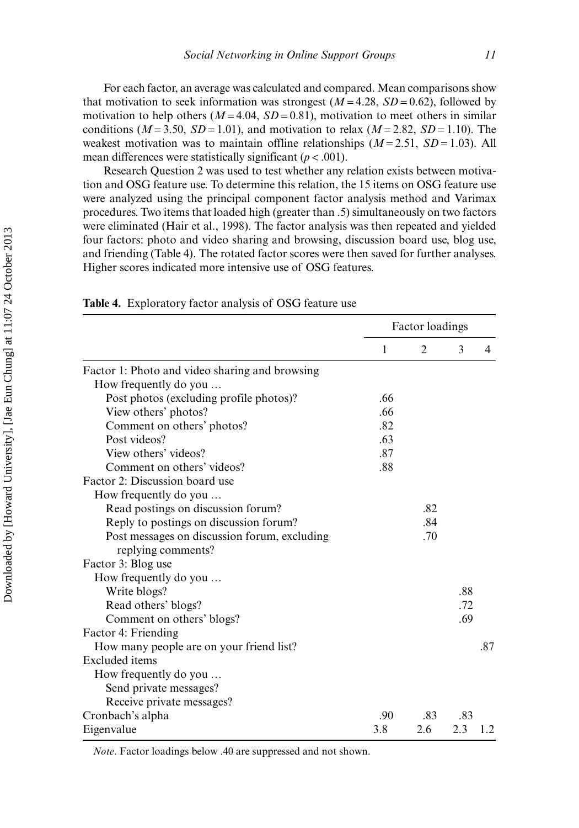For each factor, an average was calculated and compared. Mean comparisons show that motivation to seek information was strongest  $(M=4.28, SD=0.62)$ , followed by motivation to help others ( $M = 4.04$ ,  $SD = 0.81$ ), motivation to meet others in similar conditions ( $M = 3.50$ ,  $SD = 1.01$ ), and motivation to relax ( $M = 2.82$ ,  $SD = 1.10$ ). The weakest motivation was to maintain offline relationships  $(M = 2.51, SD = 1.03)$ . All mean differences were statistically significant  $(p < .001)$ .

Research Question 2 was used to test whether any relation exists between motivation and OSG feature use. To determine this relation, the 15 items on OSG feature use were analyzed using the principal component factor analysis method and Varimax procedures. Two items that loaded high (greater than .5) simultaneously on two factors were eliminated (Hair et al., 1998). The factor analysis was then repeated and yielded four factors: photo and video sharing and browsing, discussion board use, blog use, and friending (Table 4). The rotated factor scores were then saved for further analyses. Higher scores indicated more intensive use of OSG features.

|                                                                    |     | Factor loadings |     |     |
|--------------------------------------------------------------------|-----|-----------------|-----|-----|
|                                                                    | 1   | 2               | 3   | 4   |
| Factor 1: Photo and video sharing and browsing                     |     |                 |     |     |
| How frequently do you                                              |     |                 |     |     |
| Post photos (excluding profile photos)?                            | .66 |                 |     |     |
| View others' photos?                                               | .66 |                 |     |     |
| Comment on others' photos?                                         | .82 |                 |     |     |
| Post videos?                                                       | .63 |                 |     |     |
| View others' videos?                                               | .87 |                 |     |     |
| Comment on others' videos?                                         | .88 |                 |     |     |
| Factor 2: Discussion board use                                     |     |                 |     |     |
| How frequently do you                                              |     |                 |     |     |
| Read postings on discussion forum?                                 |     | .82             |     |     |
| Reply to postings on discussion forum?                             |     | .84             |     |     |
| Post messages on discussion forum, excluding<br>replying comments? |     | .70             |     |     |
| Factor 3: Blog use                                                 |     |                 |     |     |
| How frequently do you                                              |     |                 |     |     |
| Write blogs?                                                       |     |                 | .88 |     |
| Read others' blogs?                                                |     |                 | .72 |     |
| Comment on others' blogs?                                          |     |                 | .69 |     |
| Factor 4: Friending                                                |     |                 |     |     |
| How many people are on your friend list?                           |     |                 |     | .87 |
| Excluded items                                                     |     |                 |     |     |
| How frequently do you                                              |     |                 |     |     |
| Send private messages?                                             |     |                 |     |     |
| Receive private messages?                                          |     |                 |     |     |
| Cronbach's alpha                                                   | .90 | .83             | .83 |     |
| Eigenvalue                                                         | 3.8 | 2.6             | 2.3 | 1.2 |

 **Table 4.** Exploratory factor analysis of OSG feature use

*Note*. Factor loadings below .40 are suppressed and not shown.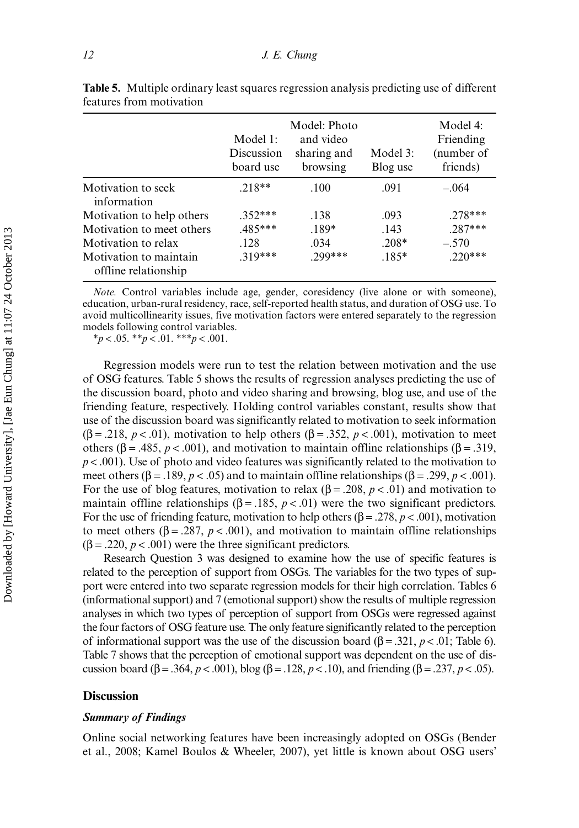|                                                | Model 1:<br>Discussion<br>board use | Model: Photo<br>and video<br>sharing and<br>browsing | Model 3:<br>Blog use | Model 4:<br>Friending<br>(number of<br>friends) |
|------------------------------------------------|-------------------------------------|------------------------------------------------------|----------------------|-------------------------------------------------|
| Motivation to seek<br>information              | $218**$                             | .100                                                 | .091                 | $-.064$                                         |
| Motivation to help others                      | $352***$                            | .138                                                 | .093                 | $.278***$                                       |
| Motivation to meet others                      | $.485***$                           | $.189*$                                              | .143                 | $.287***$                                       |
| Motivation to relax                            | .128                                | .034                                                 | $.208*$              | $-.570$                                         |
| Motivation to maintain<br>offline relationship | $319***$                            | 299***                                               | $.185*$              | $.220***$                                       |

 **Table 5.** Multiple ordinary least squares regression analysis predicting use of different features from motivation

*Note.* Control variables include age, gender, coresidency (live alone or with someone), education, urban-rural residency, race, self-reported health status, and duration of OSG use. To avoid multicollinearity issues, five motivation factors were entered separately to the regression models following control variables.

\**p* < .05. \*\**p* < .01. \*\*\**p* < .001.

Regression models were run to test the relation between motivation and the use of OSG features. Table 5 shows the results of regression analyses predicting the use of the discussion board, photo and video sharing and browsing, blog use, and use of the friending feature, respectively. Holding control variables constant, results show that use of the discussion board was significantly related to motivation to seek information ( $\beta$  = .218, *p* < .01), motivation to help others ( $\beta$  = .352, *p* < .001), motivation to meet others (β = .485, *p* < .001), and motivation to maintain offline relationships (β = .319,  $p < .001$ ). Use of photo and video features was significantly related to the motivation to meet others (β = .189, *p* < .05) and to maintain offline relationships (β = .299, *p* < .001). For the use of blog features, motivation to relax  $(\beta = .208, p < .01)$  and motivation to maintain offline relationships ( $\beta$  = .185,  $p < .01$ ) were the two significant predictors. For the use of friending feature, motivation to help others (β = .278, *p* < .001), motivation to meet others ( $\beta = .287$ ,  $p < .001$ ), and motivation to maintain offline relationships  $(\beta = .220, p < .001)$  were the three significant predictors.

Research Question 3 was designed to examine how the use of specific features is related to the perception of support from OSGs. The variables for the two types of support were entered into two separate regression models for their high correlation. Tables 6 (informational support) and 7 (emotional support) show the results of multiple regression analyses in which two types of perception of support from OSGs were regressed against the four factors of OSG feature use. The only feature significantly related to the perception of informational support was the use of the discussion board (β = .321, *p* < .01; Table 6). Table 7 shows that the perception of emotional support was dependent on the use of discussion board (β = .364, *p* < .001), blog (β = .128, *p* < .10), and friending (β = .237, *p* < .05).

# **Discussion**

# *Summary of Findings*

Online social networking features have been increasingly adopted on OSGs (Bender et al., 2008; Kamel Boulos & Wheeler, 2007), yet little is known about OSG users'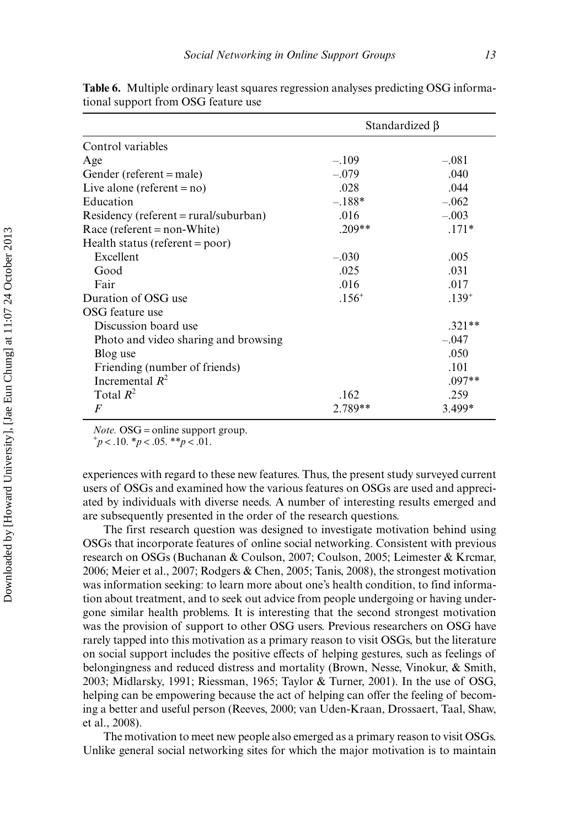|                                         | Standardized $\beta$ |            |  |
|-----------------------------------------|----------------------|------------|--|
| Control variables                       |                      |            |  |
| Age                                     | $-.109$              | $-.081$    |  |
| Gender (referent $=$ male)              | $-.079$              | .040       |  |
| Live alone (referent = $no$ )           | .028                 | .044       |  |
| Education                               | $-.188*$             | $-.062$    |  |
| $Residency$ (referent = rural/suburban) | .016                 | $-.003$    |  |
| Race (referent = $non-White$ )          | $.209**$             | $.171*$    |  |
| Health status (referent = $poor$ )      |                      |            |  |
| Excellent                               | $-.030$              | .005       |  |
| Good                                    | .025                 | .031       |  |
| Fair                                    | .016                 | .017       |  |
| Duration of OSG use                     | $.156^{+}$           | $.139^{+}$ |  |
| OSG feature use                         |                      |            |  |
| Discussion board use                    |                      | $.321**$   |  |
| Photo and video sharing and browsing    |                      | $-.047$    |  |
| Blog use                                |                      | .050       |  |
| Friending (number of friends)           |                      | .101       |  |
| Incremental $R^2$                       |                      | $.097**$   |  |
| Total $R^2$                             | .162                 | .259       |  |
| F                                       | $2.789**$            | 3.499*     |  |

 **Table 6.** Multiple ordinary least squares regression analyses predicting OSG informational support from OSG feature use

*Note.* OSG = online support group.<br>  ${}^{+}p$  < .10. \* $p$  < .05. \*\* $p$  < .01.

experiences with regard to these new features. Thus, the present study surveyed current users of OSGs and examined how the various features on OSGs are used and appreciated by individuals with diverse needs. A number of interesting results emerged and are subsequently presented in the order of the research questions.

The first research question was designed to investigate motivation behind using OSGs that incorporate features of online social networking. Consistent with previous research on OSGs (Buchanan & Coulson, 2007; Coulson, 2005; Leimester & Krcmar, 2006; Meier et al., 2007; Rodgers & Chen, 2005; Tanis, 2008), the strongest motivation was information seeking: to learn more about one's health condition, to find information about treatment, and to seek out advice from people undergoing or having undergone similar health problems. It is interesting that the second strongest motivation was the provision of support to other OSG users. Previous researchers on OSG have rarely tapped into this motivation as a primary reason to visit OSGs, but the literature on social support includes the positive effects of helping gestures, such as feelings of belongingness and reduced distress and mortality (Brown, Nesse, Vinokur, & Smith, 2003; Midlarsky, 1991; Riessman, 1965; Taylor & Turner, 2001). In the use of OSG, helping can be empowering because the act of helping can offer the feeling of becoming a better and useful person (Reeves, 2000; van Uden-Kraan, Drossaert, Taal, Shaw, et al., 2008).

The motivation to meet new people also emerged as a primary reason to visit OSGs. Unlike general social networking sites for which the major motivation is to maintain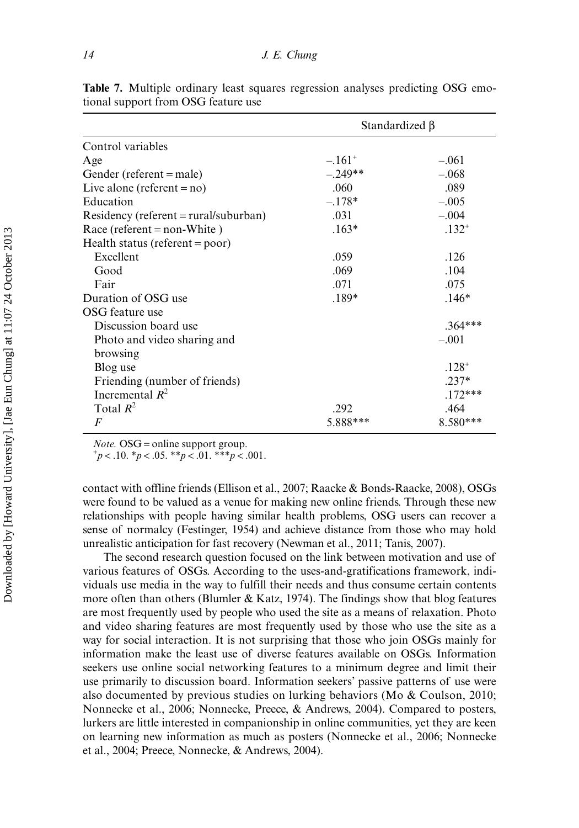|                                         | Standardized $\beta$ |            |  |
|-----------------------------------------|----------------------|------------|--|
| Control variables                       |                      |            |  |
| Age                                     | $-.161+$             | $-.061$    |  |
| Gender (referent $=$ male)              | $-.249**$            | $-.068$    |  |
| Live alone (referent = $no$ )           | .060                 | .089       |  |
| Education                               | $-.178*$             | $-.005$    |  |
| $Residency$ (referent = rural/suburban) | .031                 | $-.004$    |  |
| Race (referent = $non-White$ )          | $.163*$              | $.132^{+}$ |  |
| Health status (referent = $poor$ )      |                      |            |  |
| Excellent                               | .059                 | .126       |  |
| Good                                    | .069                 | .104       |  |
| Fair                                    | .071                 | .075       |  |
| Duration of OSG use                     | $.189*$              | $.146*$    |  |
| OSG feature use                         |                      |            |  |
| Discussion board use                    |                      | $.364***$  |  |
| Photo and video sharing and             |                      | $-.001$    |  |
| browsing                                |                      |            |  |
| Blog use                                |                      | $.128^{+}$ |  |
| Friending (number of friends)           |                      | $.237*$    |  |
| Incremental $R^2$                       |                      | $.172***$  |  |
| Total $R^2$                             | .292                 | .464       |  |
| F                                       | 5.888***             | 8.580***   |  |

 **Table 7.** Multiple ordinary least squares regression analyses predicting OSG emotional support from OSG feature use

*Note.* OSG = online support group.<br>  ${}^{+}p$  < .10. \**p* < .05. \*\**p* < .01. \*\*\**p* < .001.

contact with offline friends (Ellison et al., 2007; Raacke & Bonds-Raacke, 2008), OSGs were found to be valued as a venue for making new online friends. Through these new relationships with people having similar health problems, OSG users can recover a sense of normalcy (Festinger, 1954) and achieve distance from those who may hold unrealistic anticipation for fast recovery (Newman et al., 2011; Tanis, 2007).

The second research question focused on the link between motivation and use of various features of OSGs. According to the uses-and-gratifications framework, individuals use media in the way to fulfill their needs and thus consume certain contents more often than others (Blumler & Katz, 1974). The findings show that blog features are most frequently used by people who used the site as a means of relaxation. Photo and video sharing features are most frequently used by those who use the site as a way for social interaction. It is not surprising that those who join OSGs mainly for information make the least use of diverse features available on OSGs. Information seekers use online social networking features to a minimum degree and limit their use primarily to discussion board. Information seekers' passive patterns of use were also documented by previous studies on lurking behaviors (Mo & Coulson, 2010; Nonnecke et al., 2006; Nonnecke, Preece, & Andrews, 2004). Compared to posters, lurkers are little interested in companionship in online communities, yet they are keen on learning new information as much as posters (Nonnecke et al., 2006; Nonnecke et al., 2004; Preece, Nonnecke, & Andrews, 2004).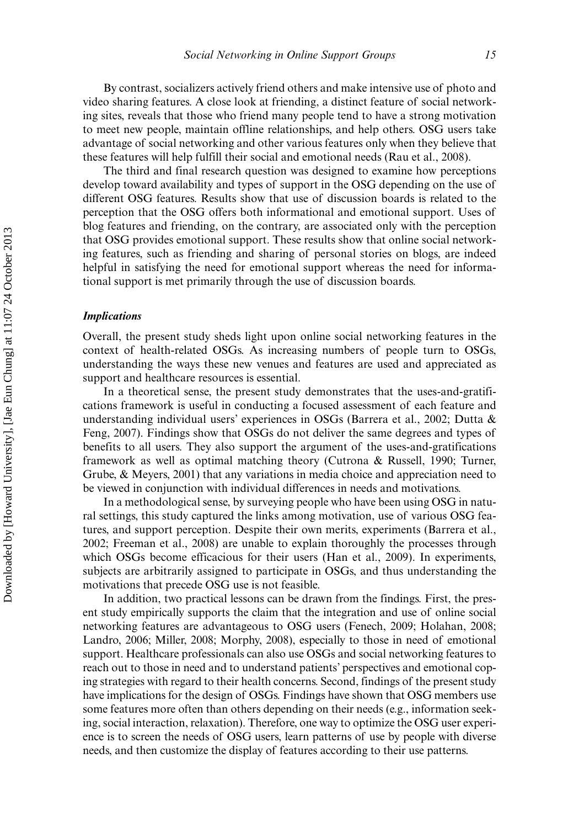By contrast, socializers actively friend others and make intensive use of photo and video sharing features. A close look at friending, a distinct feature of social networking sites, reveals that those who friend many people tend to have a strong motivation to meet new people, maintain offline relationships, and help others. OSG users take advantage of social networking and other various features only when they believe that these features will help fulfill their social and emotional needs (Rau et al., 2008).

The third and final research question was designed to examine how perceptions develop toward availability and types of support in the OSG depending on the use of different OSG features. Results show that use of discussion boards is related to the perception that the OSG offers both informational and emotional support. Uses of blog features and friending, on the contrary, are associated only with the perception that OSG provides emotional support. These results show that online social networking features, such as friending and sharing of personal stories on blogs, are indeed helpful in satisfying the need for emotional support whereas the need for informational support is met primarily through the use of discussion boards.

#### *Implications*

Overall, the present study sheds light upon online social networking features in the context of health-related OSGs. As increasing numbers of people turn to OSGs, understanding the ways these new venues and features are used and appreciated as support and healthcare resources is essential.

In a theoretical sense, the present study demonstrates that the uses-and-gratifications framework is useful in conducting a focused assessment of each feature and understanding individual users' experiences in OSGs (Barrera et al., 2002; Dutta & Feng, 2007). Findings show that OSGs do not deliver the same degrees and types of benefits to all users. They also support the argument of the uses-and-gratifications framework as well as optimal matching theory (Cutrona & Russell, 1990; Turner, Grube, & Meyers, 2001) that any variations in media choice and appreciation need to be viewed in conjunction with individual differences in needs and motivations.

In a methodological sense, by surveying people who have been using OSG in natural settings, this study captured the links among motivation, use of various OSG features, and support perception. Despite their own merits, experiments (Barrera et al., 2002; Freeman et al., 2008) are unable to explain thoroughly the processes through which OSGs become efficacious for their users (Han et al., 2009). In experiments, subjects are arbitrarily assigned to participate in OSGs, and thus understanding the motivations that precede OSG use is not feasible.

In addition, two practical lessons can be drawn from the findings. First, the present study empirically supports the claim that the integration and use of online social networking features are advantageous to OSG users (Fenech, 2009; Holahan, 2008; Landro, 2006; Miller, 2008; Morphy, 2008), especially to those in need of emotional support. Healthcare professionals can also use OSGs and social networking features to reach out to those in need and to understand patients' perspectives and emotional coping strategies with regard to their health concerns. Second, findings of the present study have implications for the design of OSGs. Findings have shown that OSG members use some features more often than others depending on their needs (e.g., information seeking, social interaction, relaxation). Therefore, one way to optimize the OSG user experience is to screen the needs of OSG users, learn patterns of use by people with diverse needs, and then customize the display of features according to their use patterns.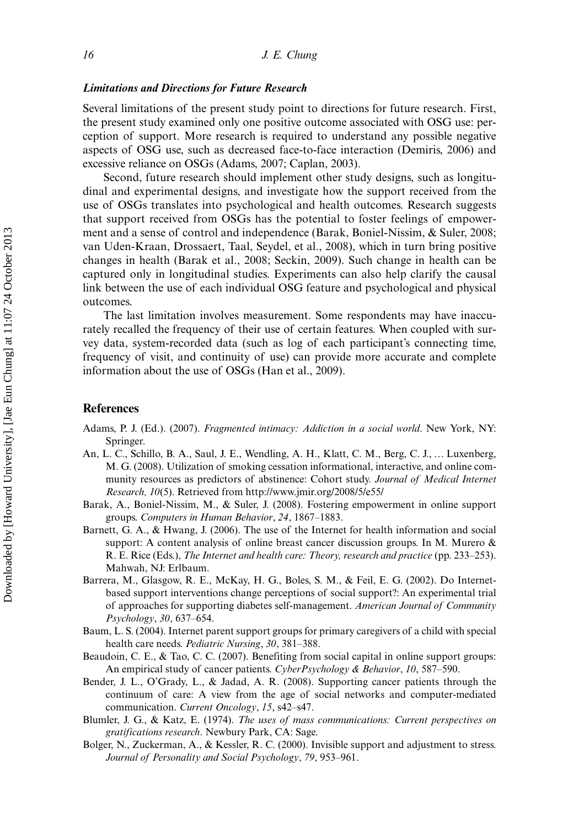# *Limitations and Directions for Future Research*

Several limitations of the present study point to directions for future research. First, the present study examined only one positive outcome associated with OSG use: perception of support. More research is required to understand any possible negative aspects of OSG use, such as decreased face-to-face interaction (Demiris, 2006) and excessive reliance on OSGs (Adams, 2007; Caplan, 2003).

Second, future research should implement other study designs, such as longitudinal and experimental designs, and investigate how the support received from the use of OSGs translates into psychological and health outcomes. Research suggests that support received from OSGs has the potential to foster feelings of empowerment and a sense of control and independence (Barak, Boniel-Nissim, & Suler, 2008; van Uden-Kraan, Drossaert, Taal, Seydel, et al., 2008), which in turn bring positive changes in health (Barak et al., 2008; Seckin, 2009). Such change in health can be captured only in longitudinal studies. Experiments can also help clarify the causal link between the use of each individual OSG feature and psychological and physical outcomes.

The last limitation involves measurement. Some respondents may have inaccurately recalled the frequency of their use of certain features. When coupled with survey data, system-recorded data (such as log of each participant's connecting time, frequency of visit, and continuity of use) can provide more accurate and complete information about the use of OSGs (Han et al., 2009).

## **References**

- Adams, P. J. (Ed.). (2007). *Fragmented intimacy: Addiction in a social world*. New York, NY: Springer.
- An, L. C., Schillo, B. A., Saul, J. E., Wendling, A. H., Klatt, C. M., Berg, C. J., … Luxenberg, M. G. (2008). Utilization of smoking cessation informational, interactive, and online community resources as predictors of abstinence: Cohort study. *Journal of Medical Internet Research, 10*(5). Retrieved from http://www.jmir.org/2008/5/e55/
- Barak, A., Boniel-Nissim, M., & Suler, J. (2008). Fostering empowerment in online support groups. *Computers in Human Behavior*, *24*, 1867–1883.
- Barnett, G. A., & Hwang, J. (2006). The use of the Internet for health information and social support: A content analysis of online breast cancer discussion groups. In M. Murero & R. E. Rice (Eds.), *The Internet and health care: Theory, research and practice* (pp. 233–253). Mahwah, NJ: Erlbaum.
- Barrera, M., Glasgow, R. E., McKay, H. G., Boles, S. M., & Feil, E. G. (2002). Do Internetbased support interventions change perceptions of social support?: An experimental trial of approaches for supporting diabetes self-management. *American Journal of Community Psychology*, *30*, 637–654.
- Baum, L. S. (2004). Internet parent support groups for primary caregivers of a child with special health care needs. *Pediatric Nursing*, *30*, 381–388.
- Beaudoin, C. E., & Tao, C. C. (2007). Benefiting from social capital in online support groups: An empirical study of cancer patients. *CyberPsychology & Behavior*, *10*, 587–590.
- Bender, J. L., O'Grady, L., & Jadad, A. R. (2008). Supporting cancer patients through the continuum of care: A view from the age of social networks and computer-mediated communication. *Current Oncology*, *15*, s42–s47.
- Blumler, J. G., & Katz, E. (1974). *The uses of mass communications: Current perspectives on gratifications research*. Newbury Park, CA: Sage.
- Bolger, N., Zuckerman, A., & Kessler, R. C. (2000). Invisible support and adjustment to stress. *Journal of Personality and Social Psychology*, *79*, 953–961.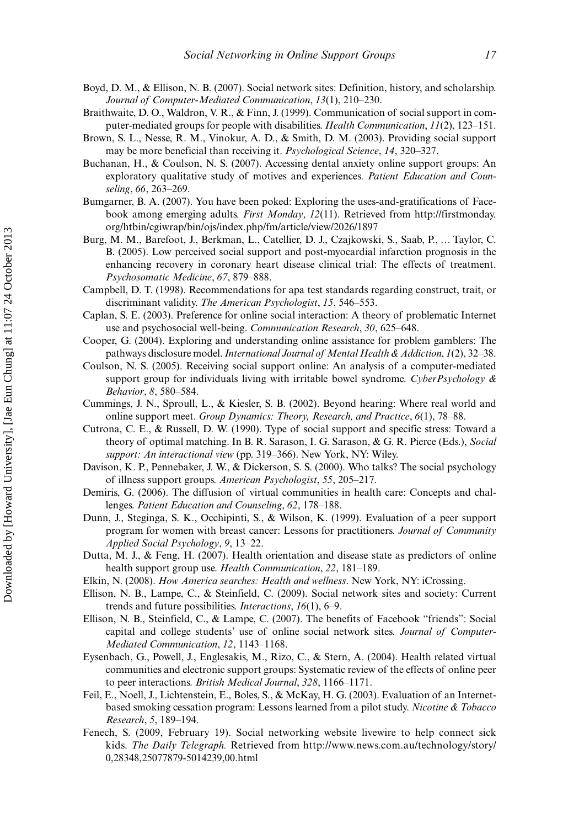- Boyd, D. M., & Ellison, N. B. (2007). Social network sites: Definition, history, and scholarship. *Journal of Computer-Mediated Communication*, *13*(1), 210–230.
- Braithwaite, D. O., Waldron, V. R., & Finn, J. (1999). Communication of social support in computer-mediated groups for people with disabilities. *Health Communication*, *11*(2), 123–151.
- Brown, S. L., Nesse, R. M., Vinokur, A. D., & Smith, D. M. (2003). Providing social support may be more beneficial than receiving it. *Psychological Science*, *14*, 320–327.
- Buchanan, H., & Coulson, N. S. (2007). Accessing dental anxiety online support groups: An exploratory qualitative study of motives and experiences. *Patient Education and Counseling*, *66*, 263–269.
- Bumgarner, B. A. (2007). You have been poked: Exploring the uses-and-gratifications of Facebook among emerging adults. *First Monday*, *12*(11). Retrieved from http://firstmonday. org/htbin/cgiwrap/bin/ojs/index.php/fm/article/view/2026/1897
- Burg, M. M., Barefoot, J., Berkman, L., Catellier, D. J., Czajkowski, S., Saab, P., … Taylor, C. B. (2005). Low perceived social support and post-myocardial infarction prognosis in the enhancing recovery in coronary heart disease clinical trial: The effects of treatment. *Psychosomatic Medicine*, *67*, 879–888.
- Campbell, D. T. (1998). Recommendations for apa test standards regarding construct, trait, or discriminant validity. *The American Psychologist*, *15*, 546–553.
- Caplan, S. E. (2003). Preference for online social interaction: A theory of problematic Internet use and psychosocial well-being. *Communication Research*, *30*, 625–648.
- Cooper, G. (2004). Exploring and understanding online assistance for problem gamblers: The pathways disclosure model. *International Journal of Mental Health & Addiction*, *1*(2), 32–38.
- Coulson, N. S. (2005). Receiving social support online: An analysis of a computer-mediated support group for individuals living with irritable bowel syndrome. *CyberPsychology & Behavior*, *8*, 580–584.
- Cummings, J. N., Sproull, L., & Kiesler, S. B. (2002). Beyond hearing: Where real world and online support meet. *Group Dynamics: Theory, Research, and Practice*, *6*(1), 78–88.
- Cutrona, C. E., & Russell, D. W. (1990). Type of social support and specific stress: Toward a theory of optimal matching. In B. R. Sarason, I. G. Sarason, & G. R. Pierce (Eds.), *Social support: An interactional view* (pp. 319–366). New York, NY: Wiley.
- Davison, K. P., Pennebaker, J. W., & Dickerson, S. S. (2000). Who talks? The social psychology of illness support groups. *American Psychologist*, *55*, 205–217.
- Demiris, G. (2006). The diffusion of virtual communities in health care: Concepts and challenges. *Patient Education and Counseling*, *62*, 178–188.
- Dunn, J., Steginga, S. K., Occhipinti, S., & Wilson, K. (1999). Evaluation of a peer support program for women with breast cancer: Lessons for practitioners. *Journal of Community Applied Social Psychology*, *9*, 13–22.
- Dutta, M. J., & Feng, H. (2007). Health orientation and disease state as predictors of online health support group use. *Health Communication*, *22*, 181–189.
- Elkin, N. (2008). *How America searches: Health and wellness*. New York, NY: iCrossing.
- Ellison, N. B., Lampe, C., & Steinfield, C. (2009). Social network sites and society: Current trends and future possibilities. *Interactions*, *16*(1), 6–9.
- Ellison, N. B., Steinfield, C., & Lampe, C. (2007). The benefits of Facebook "friends": Social capital and college students' use of online social network sites. *Journal of Computer-Mediated Communication*, *12*, 1143–1168.
- Eysenbach, G., Powell, J., Englesakis, M., Rizo, C., & Stern, A. (2004). Health related virtual communities and electronic support groups: Systematic review of the effects of online peer to peer interactions. *British Medical Journal*, *328*, 1166–1171.
- Feil, E., Noell, J., Lichtenstein, E., Boles, S., & McKay, H. G. (2003). Evaluation of an Internetbased smoking cessation program: Lessons learned from a pilot study. *Nicotine & Tobacco Research*, *5*, 189–194.
- Fenech, S. (2009, February 19). Social networking website livewire to help connect sick kids. *The Daily Telegraph.* Retrieved from http://www.news.com.au/technology/story/ 0,28348,25077879-5014239,00.html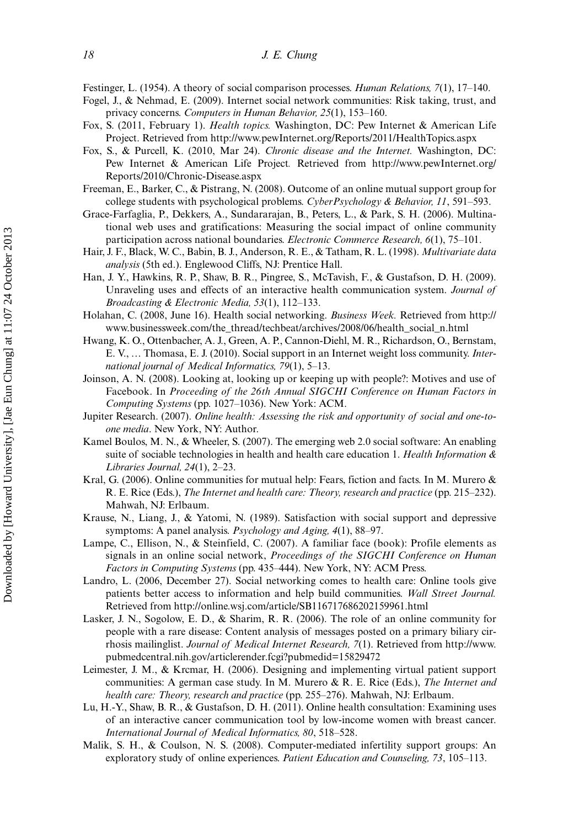- Fogel, J., & Nehmad, E. (2009). Internet social network communities: Risk taking, trust, and privacy concerns. *Computers in Human Behavior, 25*(1), 153–160.
- Fox, S. (2011, February 1). *Health topics.* Washington, DC: Pew Internet & American Life Project. Retrieved from http://www.pewInternet.org/Reports/2011/HealthTopics.aspx
- Fox, S., & Purcell, K. (2010, Mar 24). *Chronic disease and the Internet.* Washington, DC: Pew Internet & American Life Project*.* Retrieved from http://www.pewInternet.org/ Reports/2010/Chronic-Disease.aspx
- Freeman, E., Barker, C., & Pistrang, N. (2008). Outcome of an online mutual support group for college students with psychological problems. *CyberPsychology & Behavior, 11*, 591–593.
- Grace-Farfaglia, P., Dekkers, A., Sundararajan, B., Peters, L., & Park, S. H. (2006). Multinational web uses and gratifications: Measuring the social impact of online community participation across national boundaries. *Electronic Commerce Research, 6*(1), 75–101.
- Hair, J. F., Black, W. C., Babin, B. J., Anderson, R. E., & Tatham, R. L. (1998). *Multivariate data analysis* (5th ed.). Englewood Cliffs, NJ: Prentice Hall.
- Han, J. Y., Hawkins, R. P., Shaw, B. R., Pingree, S., McTavish, F., & Gustafson, D. H. (2009). Unraveling uses and effects of an interactive health communication system. *Journal of Broadcasting & Electronic Media, 53*(1), 112–133.
- Holahan, C. (2008, June 16). Health social networking. *Business Week.* Retrieved from http:// www.businessweek.com/the\_thread/techbeat/archives/2008/06/health\_social\_n.html
- Hwang, K. O., Ottenbacher, A. J., Green, A. P., Cannon-Diehl, M. R., Richardson, O., Bernstam, E. V., … Thomasa, E. J. (2010). Social support in an Internet weight loss community. *International journal of Medical Informatics, 79*(1), 5–13.
- Joinson, A. N. (2008). Looking at, looking up or keeping up with people?: Motives and use of Facebook. In *Proceeding of the 26th Annual SIGCHI Conference on Human Factors in Computing Systems* (pp. 1027–1036). New York: ACM.
- Jupiter Research. (2007). *Online health: Assessing the risk and opportunity of social and one-toone media*. New York, NY: Author.
- Kamel Boulos, M. N., & Wheeler, S. (2007). The emerging web 2.0 social software: An enabling suite of sociable technologies in health and health care education 1. *Health Information & Libraries Journal, 24*(1), 2–23.
- Kral, G. (2006). Online communities for mutual help: Fears, fiction and facts. In M. Murero & R. E. Rice (Eds.), *The Internet and health care: Theory, research and practice* (pp. 215–232). Mahwah, NJ: Erlbaum.
- Krause, N., Liang, J., & Yatomi, N. (1989). Satisfaction with social support and depressive symptoms: A panel analysis. *Psychology and Aging, 4*(1), 88–97.
- Lampe, C., Ellison, N., & Steinfield, C. (2007). A familiar face (book): Profile elements as signals in an online social network, *Proceedings of the SIGCHI Conference on Human Factors in Computing Systems* (pp. 435–444). New York, NY: ACM Press.
- Landro, L. (2006, December 27). Social networking comes to health care: Online tools give patients better access to information and help build communities. *Wall Street Journal.* Retrieved from http://online.wsj.com/article/SB116717686202159961.html
- Lasker, J. N., Sogolow, E. D., & Sharim, R. R. (2006). The role of an online community for people with a rare disease: Content analysis of messages posted on a primary biliary cirrhosis mailinglist. *Journal of Medical Internet Research, 7*(1). Retrieved from http://www. pubmedcentral.nih.gov/articlerender.fcgi?pubmedid=15829472
- Leimester, J. M., & Krcmar, H. (2006). Designing and implementing virtual patient support communities: A german case study. In M. Murero & R. E. Rice (Eds.), *The Internet and health care: Theory, research and practice* (pp. 255–276). Mahwah, NJ: Erlbaum.
- Lu, H.-Y., Shaw, B. R., & Gustafson, D. H. (2011). Online health consultation: Examining uses of an interactive cancer communication tool by low-income women with breast cancer. *International Journal of Medical Informatics, 80*, 518–528.
- Malik, S. H., & Coulson, N. S. (2008). Computer-mediated infertility support groups: An exploratory study of online experiences. *Patient Education and Counseling, 73*, 105–113.

Festinger, L. (1954). A theory of social comparison processes. *Human Relations, 7*(1), 17–140.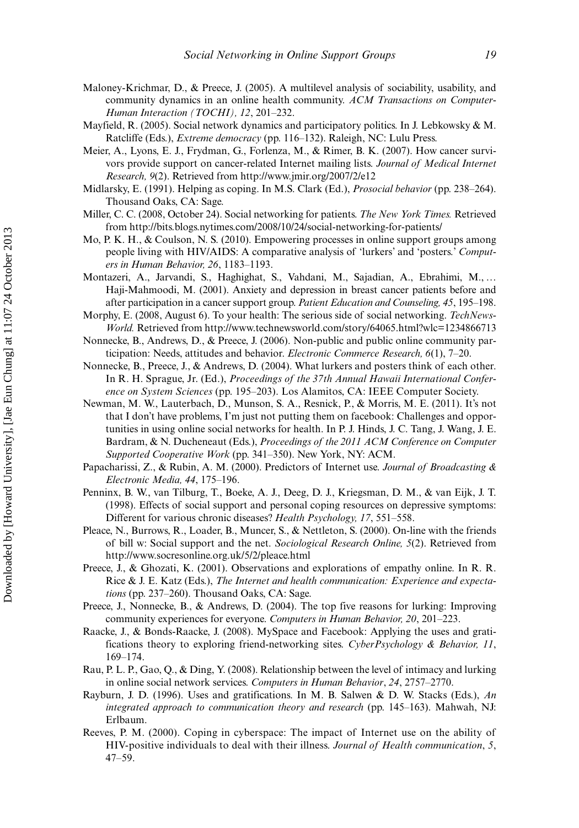- Maloney-Krichmar, D., & Preece, J. (2005). A multilevel analysis of sociability, usability, and community dynamics in an online health community. *ACM Transactions on Computer-Human Interaction (TOCHI), 12*, 201–232.
- Mayfield, R. (2005). Social network dynamics and participatory politics. In J. Lebkowsky & M. Ratcliffe (Eds.), *Extreme democracy* (pp. 116–132). Raleigh, NC: Lulu Press.
- Meier, A., Lyons, E. J., Frydman, G., Forlenza, M., & Rimer, B. K. (2007). How cancer survivors provide support on cancer-related Internet mailing lists. *Journal of Medical Internet Research, 9*(2). Retrieved from http://www.jmir.org/2007/2/e12
- Midlarsky, E. (1991). Helping as coping. In M.S. Clark (Ed.), *Prosocial behavior* (pp. 238–264). Thousand Oaks, CA: Sage.
- Miller, C. C. (2008, October 24). Social networking for patients. *The New York Times.* Retrieved from http://bits.blogs.nytimes.com/2008/10/24/social-networking-for-patients/
- Mo, P. K. H., & Coulson, N. S. (2010). Empowering processes in online support groups among people living with HIV/AIDS: A comparative analysis of 'lurkers' and 'posters.' *Computers in Human Behavior, 26*, 1183–1193.
- Montazeri, A., Jarvandi, S., Haghighat, S., Vahdani, M., Sajadian, A., Ebrahimi, M., … Haji-Mahmoodi, M. (2001). Anxiety and depression in breast cancer patients before and after participation in a cancer support group. *Patient Education and Counseling, 45*, 195–198.
- Morphy, E. (2008, August 6). To your health: The serious side of social networking. *TechNews-World.* Retrieved from http://www.technewsworld.com/story/64065.html?wlc=1234866713
- Nonnecke, B., Andrews, D., & Preece, J. (2006). Non-public and public online community participation: Needs, attitudes and behavior. *Electronic Commerce Research, 6*(1), 7–20.
- Nonnecke, B., Preece, J., & Andrews, D. (2004). What lurkers and posters think of each other. In R. H. Sprague, Jr. (Ed.), *Proceedings of the 37th Annual Hawaii International Conference on System Sciences* (pp. 195–203). Los Alamitos, CA: IEEE Computer Society.
- Newman, M. W., Lauterbach, D., Munson, S. A., Resnick, P., & Morris, M. E. (2011). It's not that I don't have problems, I'm just not putting them on facebook: Challenges and opportunities in using online social networks for health. In P. J. Hinds, J. C. Tang, J. Wang, J. E. Bardram, & N. Ducheneaut (Eds.), *Proceedings of the 2011 ACM Conference on Computer Supported Cooperative Work* (pp. 341–350). New York, NY: ACM.
- Papacharissi, Z., & Rubin, A. M. (2000). Predictors of Internet use. *Journal of Broadcasting & Electronic Media, 44*, 175–196.
- Penninx, B. W., van Tilburg, T., Boeke, A. J., Deeg, D. J., Kriegsman, D. M., & van Eijk, J. T. (1998). Effects of social support and personal coping resources on depressive symptoms: Different for various chronic diseases? *Health Psychology, 17*, 551–558.
- Pleace, N., Burrows, R., Loader, B., Muncer, S., & Nettleton, S. (2000). On-line with the friends of bill w: Social support and the net. *Sociological Research Online, 5*(2). Retrieved from http://www.socresonline.org.uk/5/2/pleace.html
- Preece, J., & Ghozati, K. (2001). Observations and explorations of empathy online. In R. R. Rice & J. E. Katz (Eds.), *The Internet and health communication: Experience and expectations* (pp. 237–260). Thousand Oaks, CA: Sage.
- Preece, J., Nonnecke, B., & Andrews, D. (2004). The top five reasons for lurking: Improving community experiences for everyone. *Computers in Human Behavior, 20*, 201–223.
- Raacke, J., & Bonds-Raacke, J. (2008). MySpace and Facebook: Applying the uses and gratifications theory to exploring friend-networking sites. *CyberPsychology & Behavior, 11*, 169–174.
- Rau, P. L. P., Gao, Q., & Ding, Y. (2008). Relationship between the level of intimacy and lurking in online social network services. *Computers in Human Behavior*, *24*, 2757–2770.
- Rayburn, J. D. (1996). Uses and gratifications. In M. B. Salwen & D. W. Stacks (Eds.), *An integrated approach to communication theory and research* (pp. 145–163). Mahwah, NJ: Erlbaum.
- Reeves, P. M. (2000). Coping in cyberspace: The impact of Internet use on the ability of HIV-positive individuals to deal with their illness. *Journal of Health communication*, *5*, 47–59.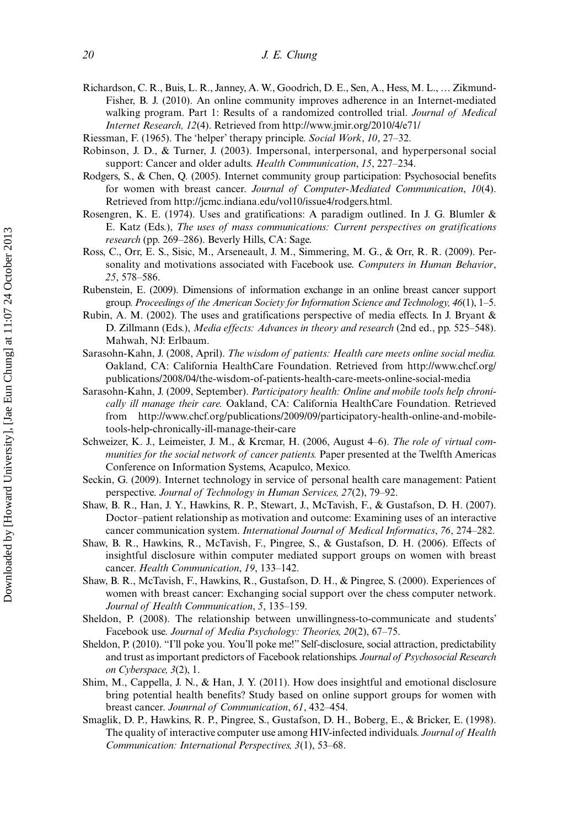- Richardson, C. R., Buis, L. R., Janney, A. W., Goodrich, D. E., Sen, A., Hess, M. L., … Zikmund-Fisher, B. J. (2010). An online community improves adherence in an Internet-mediated walking program. Part 1: Results of a randomized controlled trial. *Journal of Medical Internet Research, 12*(4). Retrieved from http://www.jmir.org/2010/4/e71/
- Riessman, F. (1965). The 'helper' therapy principle. *Social Work*, *10*, 27–32.
- Robinson, J. D., & Turner, J. (2003). Impersonal, interpersonal, and hyperpersonal social support: Cancer and older adults. *Health Communication*, *15*, 227–234.
- Rodgers, S., & Chen, Q. (2005). Internet community group participation: Psychosocial benefits for women with breast cancer. *Journal of Computer-Mediated Communication*, *10*(4). Retrieved from http://jcmc.indiana.edu/vol10/issue4/rodgers.html.
- Rosengren, K. E. (1974). Uses and gratifications: A paradigm outlined. In J. G. Blumler & E. Katz (Eds.), *The uses of mass communications: Current perspectives on gratifications research* (pp. 269–286). Beverly Hills, CA: Sage.
- Ross, C., Orr, E. S., Sisic, M., Arseneault, J. M., Simmering, M. G., & Orr, R. R. (2009). Personality and motivations associated with Facebook use. *Computers in Human Behavior*, *25*, 578–586.
- Rubenstein, E. (2009). Dimensions of information exchange in an online breast cancer support group. *Proceedings of the American Society for Information Science and Technology, 46*(1), 1–5.
- Rubin, A. M. (2002). The uses and gratifications perspective of media effects. In J. Bryant & D. Zillmann (Eds.), *Media effects: Advances in theory and research* (2nd ed., pp. 525–548). Mahwah, NJ: Erlbaum.
- Sarasohn-Kahn, J. (2008, April). *The wisdom of patients: Health care meets online social media.*  Oakland, CA: California HealthCare Foundation. Retrieved from http://www.chcf.org/ publications/2008/04/the-wisdom-of-patients-health-care-meets-online-social-media
- Sarasohn-Kahn, J. (2009, September). *Participatory health: Online and mobile tools help chronically ill manage their care.* Oakland, CA: California HealthCare Foundation. Retrieved from http://www.chcf.org/publications/2009/09/participatory-health-online-and-mobiletools-help-chronically-ill-manage-their-care
- Schweizer, K. J., Leimeister, J. M., & Krcmar, H. (2006, August 4–6). *The role of virtual communities for the social network of cancer patients.* Paper presented at the Twelfth Americas Conference on Information Systems, Acapulco, Mexico.
- Seckin, G. (2009). Internet technology in service of personal health care management: Patient perspective. *Journal of Technology in Human Services, 27*(2), 79–92.
- Shaw, B. R., Han, J. Y., Hawkins, R. P., Stewart, J., McTavish, F., & Gustafson, D. H. (2007). Doctor–patient relationship as motivation and outcome: Examining uses of an interactive cancer communication system. *International Journal of Medical Informatics*, *76*, 274–282.
- Shaw, B. R., Hawkins, R., McTavish, F., Pingree, S., & Gustafson, D. H. (2006). Effects of insightful disclosure within computer mediated support groups on women with breast cancer. *Health Communication*, *19*, 133–142.
- Shaw, B. R., McTavish, F., Hawkins, R., Gustafson, D. H., & Pingree, S. (2000). Experiences of women with breast cancer: Exchanging social support over the chess computer network. *Journal of Health Communication*, *5*, 135–159.
- Sheldon, P. (2008). The relationship between unwillingness-to-communicate and students' Facebook use. *Journal of Media Psychology: Theories, 20*(2), 67–75.
- Sheldon, P. (2010). "I'll poke you. You'll poke me!" Self-disclosure, social attraction, predictability and trust as important predictors of Facebook relationships. *Journal of Psychosocial Research on Cyberspace, 3*(2), 1.
- Shim, M., Cappella, J. N., & Han, J. Y. (2011). How does insightful and emotional disclosure bring potential health benefits? Study based on online support groups for women with breast cancer. *Jounrnal of Communication*, *61*, 432–454.
- Smaglik, D. P., Hawkins, R. P., Pingree, S., Gustafson, D. H., Boberg, E., & Bricker, E. (1998). The quality of interactive computer use among HIV-infected individuals. *Journal of Health Communication: International Perspectives, 3*(1), 53–68.